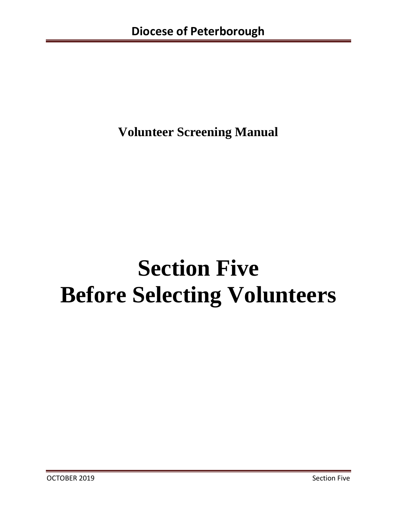**Volunteer Screening Manual**

# **Section Five Before Selecting Volunteers**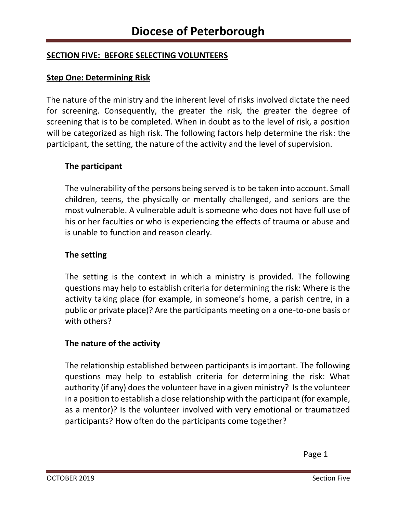# **SECTION FIVE: BEFORE SELECTING VOLUNTEERS**

### **Step One: Determining Risk**

The nature of the ministry and the inherent level of risks involved dictate the need for screening. Consequently, the greater the risk, the greater the degree of screening that is to be completed. When in doubt as to the level of risk, a position will be categorized as high risk. The following factors help determine the risk: the participant, the setting, the nature of the activity and the level of supervision.

#### **The participant**

The vulnerability of the persons being served is to be taken into account. Small children, teens, the physically or mentally challenged, and seniors are the most vulnerable. A vulnerable adult is someone who does not have full use of his or her faculties or who is experiencing the effects of trauma or abuse and is unable to function and reason clearly.

#### **The setting**

The setting is the context in which a ministry is provided. The following questions may help to establish criteria for determining the risk: Where is the activity taking place (for example, in someone's home, a parish centre, in a public or private place)? Are the participants meeting on a one-to-one basis or with others?

## **The nature of the activity**

The relationship established between participants is important. The following questions may help to establish criteria for determining the risk: What authority (if any) does the volunteer have in a given ministry? Is the volunteer in a position to establish a close relationship with the participant (for example, as a mentor)? Is the volunteer involved with very emotional or traumatized participants? How often do the participants come together?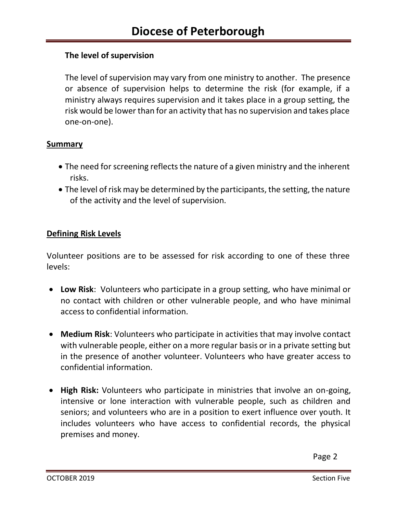## **The level of supervision**

The level of supervision may vary from one ministry to another. The presence or absence of supervision helps to determine the risk (for example, if a ministry always requires supervision and it takes place in a group setting, the risk would be lower than for an activity that has no supervision and takes place one-on-one).

#### **Summary**

- The need for screening reflects the nature of a given ministry and the inherent risks.
- The level of risk may be determined by the participants, the setting, the nature of the activity and the level of supervision.

#### **Defining Risk Levels**

Volunteer positions are to be assessed for risk according to one of these three levels:

- **Low Risk**: Volunteers who participate in a group setting, who have minimal or no contact with children or other vulnerable people, and who have minimal access to confidential information.
- **Medium Risk**: Volunteers who participate in activities that may involve contact with vulnerable people, either on a more regular basis or in a private setting but in the presence of another volunteer. Volunteers who have greater access to confidential information.
- **High Risk:** Volunteers who participate in ministries that involve an on-going, intensive or lone interaction with vulnerable people, such as children and seniors; and volunteers who are in a position to exert influence over youth. It includes volunteers who have access to confidential records, the physical premises and money.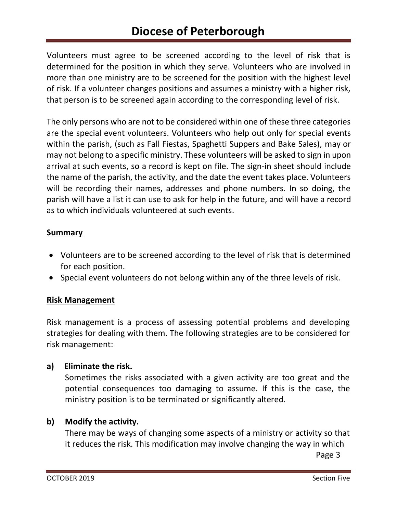Volunteers must agree to be screened according to the level of risk that is determined for the position in which they serve. Volunteers who are involved in more than one ministry are to be screened for the position with the highest level of risk. If a volunteer changes positions and assumes a ministry with a higher risk, that person is to be screened again according to the corresponding level of risk.

The only persons who are not to be considered within one of these three categories are the special event volunteers. Volunteers who help out only for special events within the parish, (such as Fall Fiestas, Spaghetti Suppers and Bake Sales), may or may not belong to a specific ministry. These volunteers will be asked to sign in upon arrival at such events, so a record is kept on file. The sign-in sheet should include the name of the parish, the activity, and the date the event takes place. Volunteers will be recording their names, addresses and phone numbers. In so doing, the parish will have a list it can use to ask for help in the future, and will have a record as to which individuals volunteered at such events.

## **Summary**

- Volunteers are to be screened according to the level of risk that is determined for each position.
- Special event volunteers do not belong within any of the three levels of risk.

## **Risk Management**

Risk management is a process of assessing potential problems and developing strategies for dealing with them. The following strategies are to be considered for risk management:

**a) Eliminate the risk.**

 Sometimes the risks associated with a given activity are too great and the potential consequences too damaging to assume. If this is the case, the ministry position is to be terminated or significantly altered.

## **b) Modify the activity.**

 There may be ways of changing some aspects of a ministry or activity so that it reduces the risk. This modification may involve changing the way in which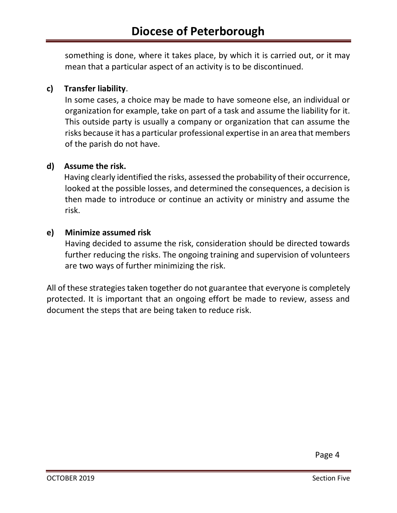something is done, where it takes place, by which it is carried out, or it may mean that a particular aspect of an activity is to be discontinued.

# **c) Transfer liability**.

 In some cases, a choice may be made to have someone else, an individual or organization for example, take on part of a task and assume the liability for it. This outside party is usually a company or organization that can assume the risks because it has a particular professional expertise in an area that members of the parish do not have.

## **d) Assume the risk.**

 Having clearly identified the risks, assessed the probability of their occurrence, looked at the possible losses, and determined the consequences, a decision is then made to introduce or continue an activity or ministry and assume the risk.

## **e) Minimize assumed risk**

 Having decided to assume the risk, consideration should be directed towards further reducing the risks. The ongoing training and supervision of volunteers are two ways of further minimizing the risk.

All of these strategies taken together do not guarantee that everyone is completely protected. It is important that an ongoing effort be made to review, assess and document the steps that are being taken to reduce risk.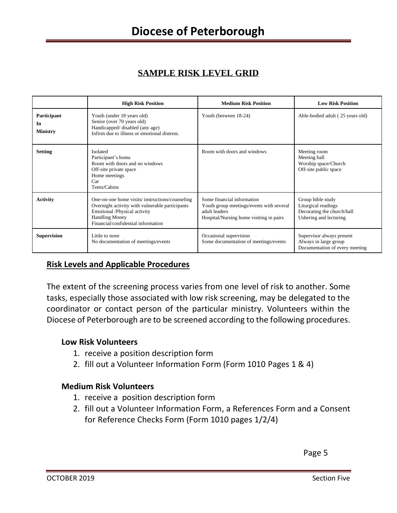# **SAMPLE RISK LEVEL GRID**

|                                      | <b>High Risk Position</b>                                                                                                                                                                        | <b>Medium Risk Position</b>                                                                                                        | <b>Low Risk Position</b>                                                                         |
|--------------------------------------|--------------------------------------------------------------------------------------------------------------------------------------------------------------------------------------------------|------------------------------------------------------------------------------------------------------------------------------------|--------------------------------------------------------------------------------------------------|
| Participant<br>In<br><b>Ministry</b> | Youth (under 18 years old)<br>Senior (over 70 years old)<br>Handicapped/disabled (any age)<br>Infirm due to illness or emotional distress.                                                       | Youth (between 18-24)                                                                                                              | Able-bodied adult (25 years old)                                                                 |
| <b>Setting</b>                       | <b>Isolated</b><br>Participant's home<br>Room with doors and no windows<br>Off-site private space<br>Home meetings<br>Car<br>Tents/Cabins                                                        | Room with doors and windows                                                                                                        | Meeting room<br>Meeting hall<br>Worship space/Church<br>Off-site public space                    |
| <b>Activity</b>                      | One-on-one home visits/instructions/counseling<br>Overnight activity with vulnerable participants<br>Emotional /Physical activity<br><b>Handling Money</b><br>Financial/confidential information | Some financial information<br>Youth group meetings/events with several<br>adult leaders<br>Hospital/Nursing home visiting in pairs | Group bible study<br>Liturgical readings<br>Decorating the church/hall<br>Ushering and lecturing |
| <b>Supervision</b>                   | Little to none<br>No documentation of meetings/events                                                                                                                                            | Occasional supervision<br>Some documentation of meetings/events                                                                    | Supervisor always present<br>Always in large group<br>Documentation of every meeting             |

# **Risk Levels and Applicable Procedures**

The extent of the screening process varies from one level of risk to another. Some tasks, especially those associated with low risk screening, may be delegated to the coordinator or contact person of the particular ministry. Volunteers within the Diocese of Peterborough are to be screened according to the following procedures.

#### **Low Risk Volunteers**

- 1. receive a position description form
- 2. fill out a Volunteer Information Form (Form 1010 Pages 1 & 4)

## **Medium Risk Volunteers**

- 1. receive a position description form
- 2. fill out a Volunteer Information Form, a References Form and a Consent for Reference Checks Form (Form 1010 pages 1/2/4)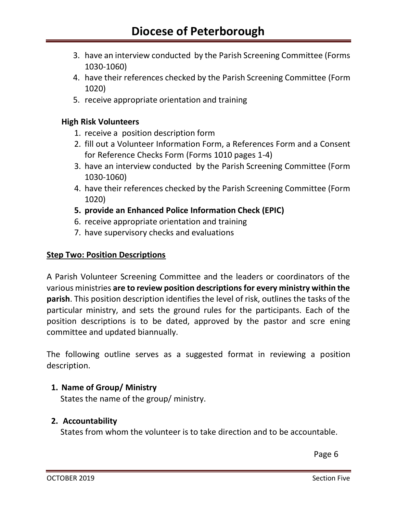- 3. have an interview conducted by the Parish Screening Committee (Forms 1030-1060)
- 4. have their references checked by the Parish Screening Committee (Form 1020)
- 5. receive appropriate orientation and training

#### **High Risk Volunteers**

- 1. receive a position description form
- 2. fill out a Volunteer Information Form, a References Form and a Consent for Reference Checks Form (Forms 1010 pages 1-4)
- 3. have an interview conducted by the Parish Screening Committee (Form 1030-1060)
- 4. have their references checked by the Parish Screening Committee (Form 1020)
- **5. provide an Enhanced Police Information Check (EPIC)**
- 6. receive appropriate orientation and training
- 7. have supervisory checks and evaluations

#### **Step Two: Position Descriptions**

A Parish Volunteer Screening Committee and the leaders or coordinators of the various ministries **are to review position descriptions for every ministry within the parish**. This position description identifies the level of risk, outlines the tasks of the particular ministry, and sets the ground rules for the participants. Each of the position descriptions is to be dated, approved by the pastor and scre ening committee and updated biannually.

The following outline serves as a suggested format in reviewing a position description.

## **1. Name of Group/ Ministry**

States the name of the group/ ministry.

## **2. Accountability**

States from whom the volunteer is to take direction and to be accountable.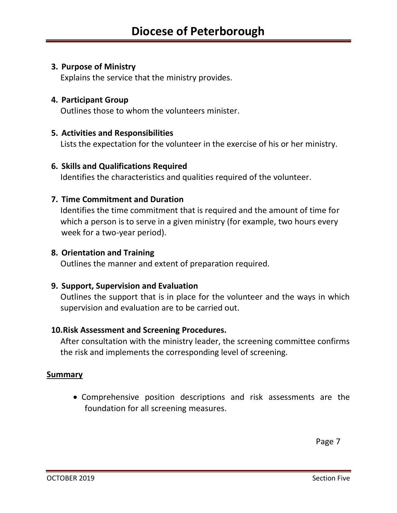#### **3. Purpose of Ministry**

Explains the service that the ministry provides.

#### **4. Participant Group**

Outlines those to whom the volunteers minister.

#### **5. Activities and Responsibilities**

Lists the expectation for the volunteer in the exercise of his or her ministry.

#### **6. Skills and Qualifications Required**

Identifies the characteristics and qualities required of the volunteer.

#### **7. Time Commitment and Duration**

Identifies the time commitment that is required and the amount of time for which a person is to serve in a given ministry (for example, two hours every week for a two-year period).

#### **8. Orientation and Training**

Outlines the manner and extent of preparation required.

#### **9. Support, Supervision and Evaluation**

Outlines the support that is in place for the volunteer and the ways in which supervision and evaluation are to be carried out.

#### **10.Risk Assessment and Screening Procedures.**

After consultation with the ministry leader, the screening committee confirms the risk and implements the corresponding level of screening.

#### **Summary**

• Comprehensive position descriptions and risk assessments are the foundation for all screening measures.